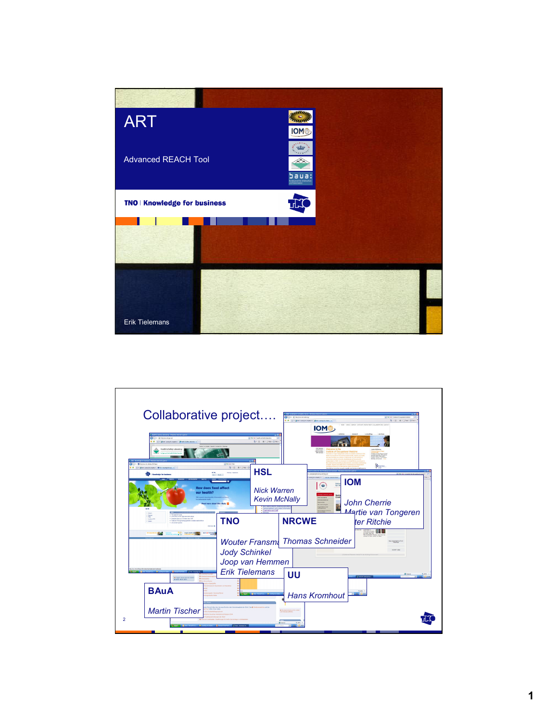

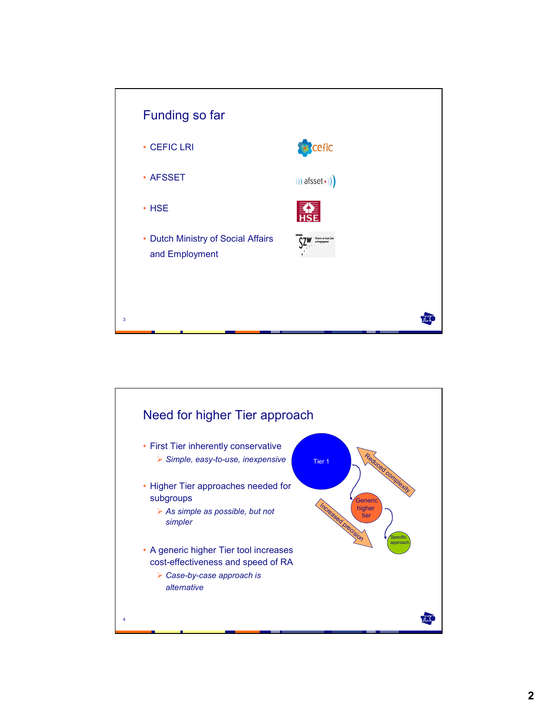

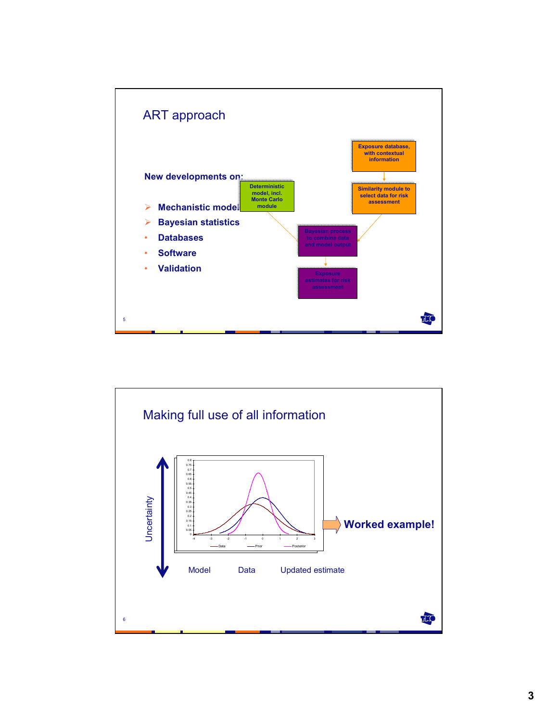

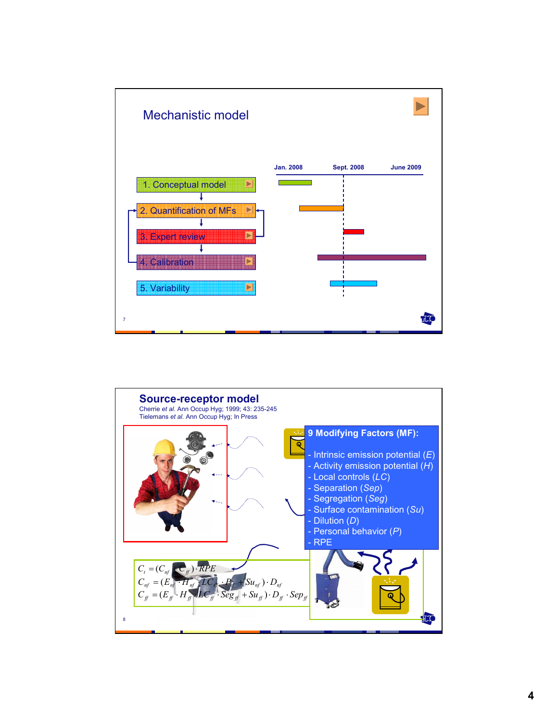

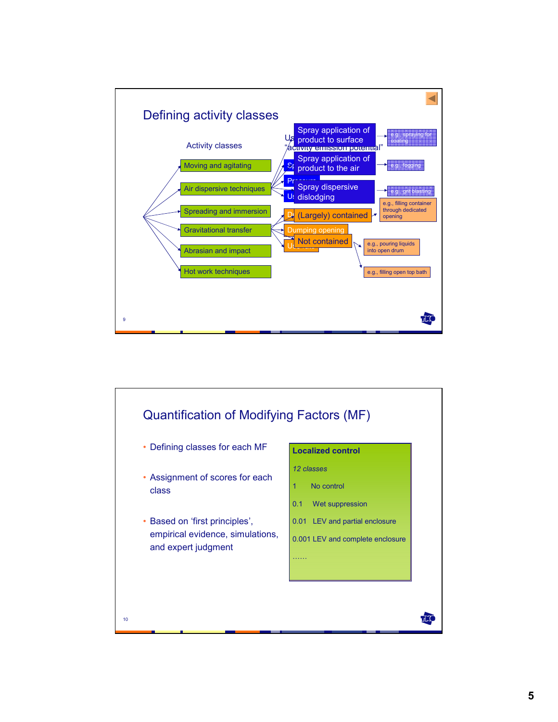

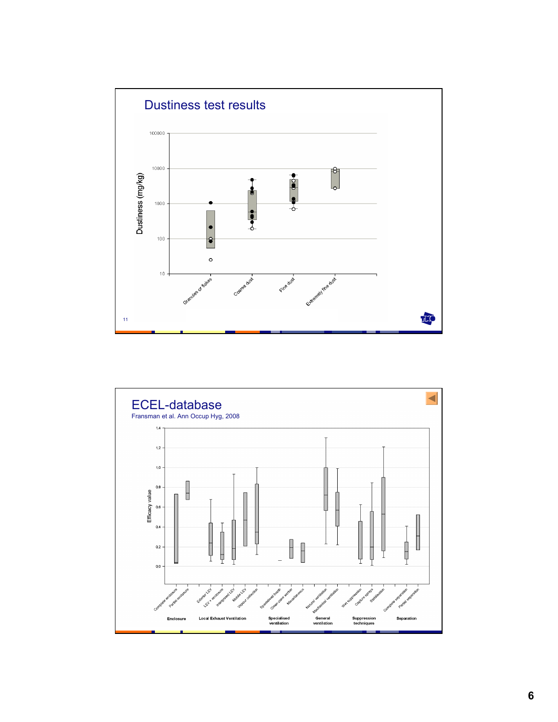

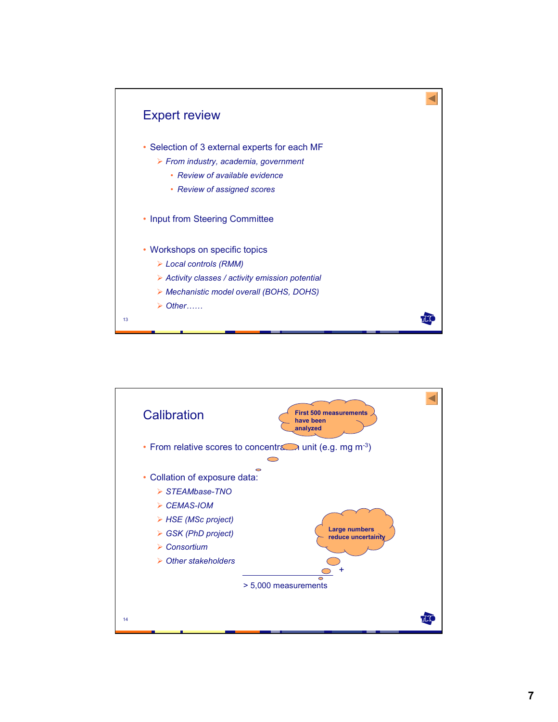

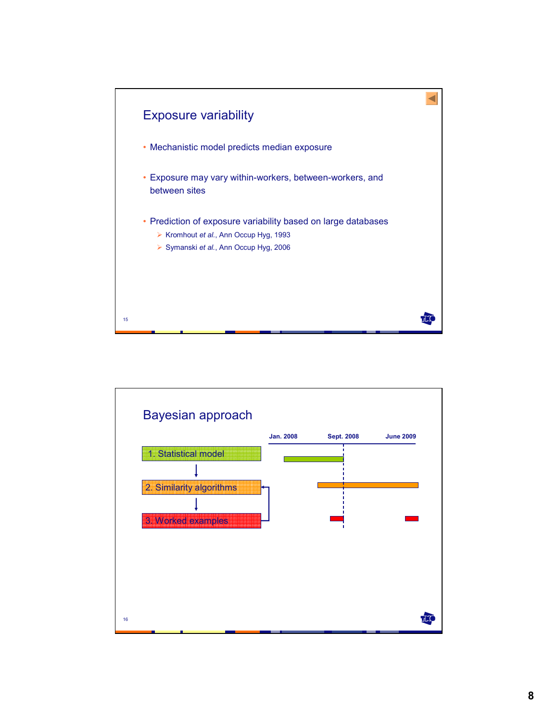

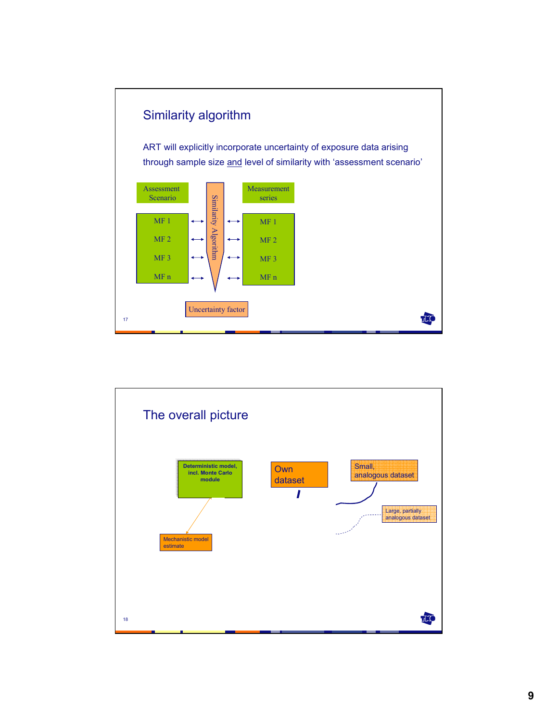

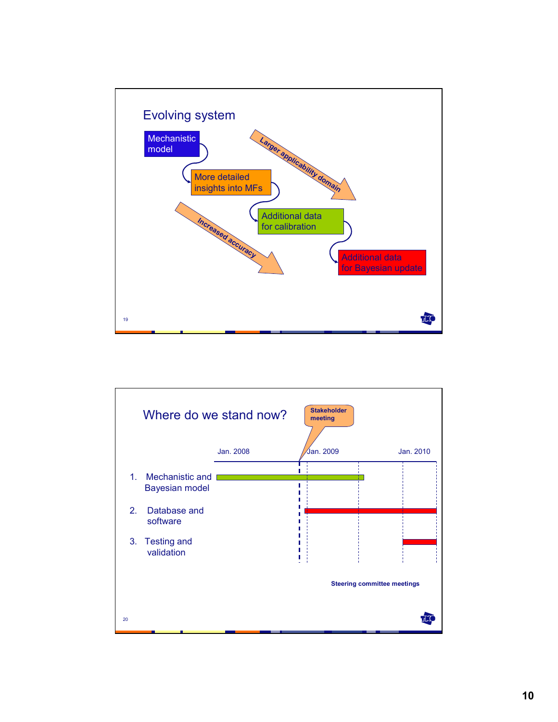

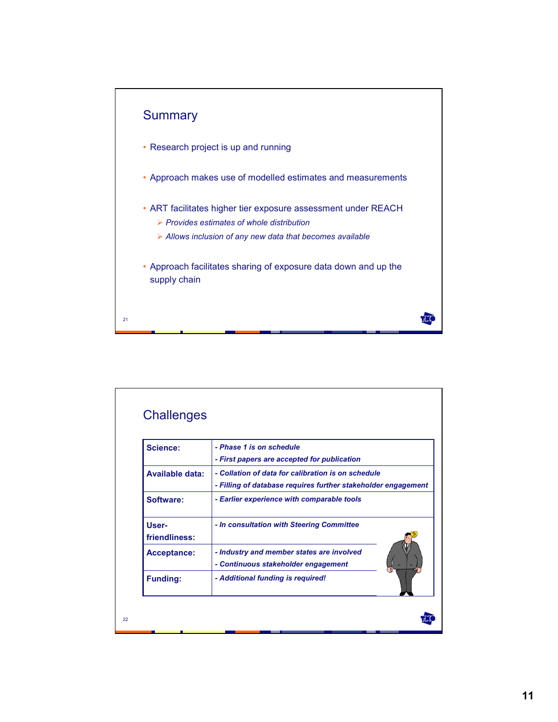

| Science:               | - Phase 1 is on schedule<br>- First papers are accepted for publication                                             |
|------------------------|---------------------------------------------------------------------------------------------------------------------|
| <b>Available data:</b> | - Collation of data for calibration is on schedule<br>- Filling of database requires further stakeholder engagement |
| Software:              | - Earlier experience with comparable tools                                                                          |
| User-<br>friendliness: | - In consultation with Steering Committee                                                                           |
| <b>Acceptance:</b>     | - Industry and member states are involved<br>- Continuous stakeholder engagement                                    |
| <b>Funding:</b>        | - Additional funding is required!                                                                                   |